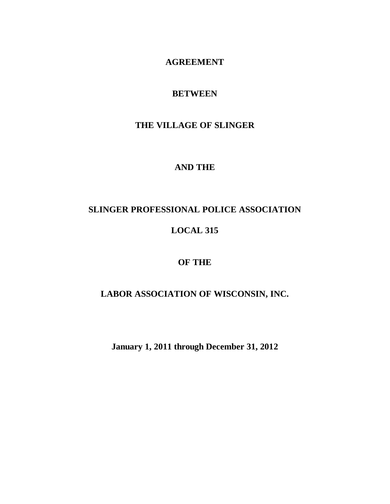# **AGREEMENT**

# **BETWEEN**

# **THE VILLAGE OF SLINGER**

# **AND THE**

# **SLINGER PROFESSIONAL POLICE ASSOCIATION**

# **LOCAL 315**

# **OF THE**

# **LABOR ASSOCIATION OF WISCONSIN, INC.**

**January 1, 2011 through December 31, 2012**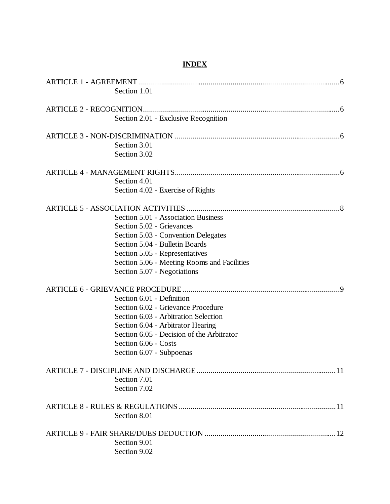# **INDEX**

| Section 1.01                                |  |
|---------------------------------------------|--|
|                                             |  |
|                                             |  |
| Section 2.01 - Exclusive Recognition        |  |
|                                             |  |
| Section 3.01                                |  |
| Section 3.02                                |  |
|                                             |  |
| Section 4.01                                |  |
| Section 4.02 - Exercise of Rights           |  |
|                                             |  |
| Section 5.01 - Association Business         |  |
| Section 5.02 - Grievances                   |  |
| Section 5.03 - Convention Delegates         |  |
| Section 5.04 - Bulletin Boards              |  |
| Section 5.05 - Representatives              |  |
| Section 5.06 - Meeting Rooms and Facilities |  |
| Section 5.07 - Negotiations                 |  |
|                                             |  |
| Section 6.01 - Definition                   |  |
| Section 6.02 - Grievance Procedure          |  |
| Section 6.03 - Arbitration Selection        |  |
| Section 6.04 - Arbitrator Hearing           |  |
| Section 6.05 - Decision of the Arbitrator   |  |
| Section 6.06 - Costs                        |  |
| Section 6.07 - Subpoenas                    |  |
|                                             |  |
| Section 7.01                                |  |
| Section 7.02                                |  |
|                                             |  |
| Section 8.01                                |  |
|                                             |  |
| Section 9.01                                |  |
| Section 9.02                                |  |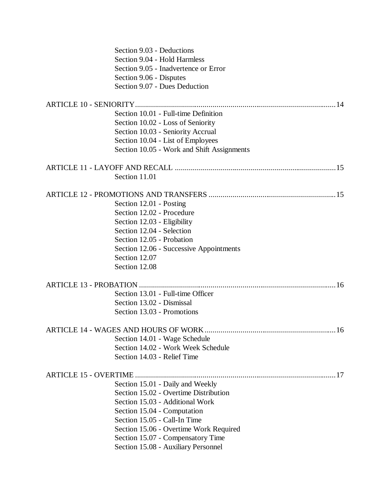| Section 9.03 - Deductions                  |    |
|--------------------------------------------|----|
| Section 9.04 - Hold Harmless               |    |
| Section 9.05 - Inadvertence or Error       |    |
| Section 9.06 - Disputes                    |    |
| Section 9.07 - Dues Deduction              |    |
|                                            |    |
| Section 10.01 - Full-time Definition       |    |
| Section 10.02 - Loss of Seniority          |    |
| Section 10.03 - Seniority Accrual          |    |
| Section 10.04 - List of Employees          |    |
| Section 10.05 - Work and Shift Assignments |    |
|                                            |    |
| Section 11.01                              |    |
|                                            |    |
| Section 12.01 - Posting                    |    |
| Section 12.02 - Procedure                  |    |
| Section 12.03 - Eligibility                |    |
| Section 12.04 - Selection                  |    |
| Section 12.05 - Probation                  |    |
| Section 12.06 - Successive Appointments    |    |
| Section 12.07                              |    |
| Section 12.08                              |    |
|                                            |    |
| Section 13.01 - Full-time Officer          |    |
| Section 13.02 - Dismissal                  |    |
| Section 13.03 - Promotions                 |    |
| ARTICLE 14 - WAGES AND HOURS OF WORK       | 16 |
| Section 14.01 - Wage Schedule              |    |
| Section 14.02 - Work Week Schedule         |    |
| Section 14.03 - Relief Time                |    |
|                                            |    |
| Section 15.01 - Daily and Weekly           |    |
| Section 15.02 - Overtime Distribution      |    |
| Section 15.03 - Additional Work            |    |
| Section 15.04 - Computation                |    |
| Section 15.05 - Call-In Time               |    |
| Section 15.06 - Overtime Work Required     |    |
| Section 15.07 - Compensatory Time          |    |
| Section 15.08 - Auxiliary Personnel        |    |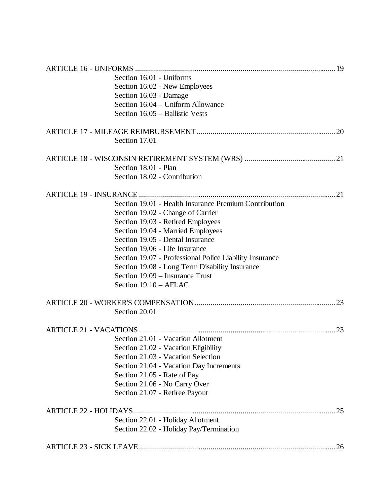| Section 16.01 - Uniforms                                |     |
|---------------------------------------------------------|-----|
| Section 16.02 - New Employees                           |     |
| Section 16.03 - Damage                                  |     |
| Section 16.04 - Uniform Allowance                       |     |
| Section 16.05 - Ballistic Vests                         |     |
|                                                         |     |
| Section 17.01                                           |     |
|                                                         |     |
| Section 18.01 - Plan                                    |     |
| Section 18.02 - Contribution                            |     |
|                                                         |     |
| Section 19.01 - Health Insurance Premium Contribution   |     |
| Section 19.02 - Change of Carrier                       |     |
| Section 19.03 - Retired Employees                       |     |
| Section 19.04 - Married Employees                       |     |
| Section 19.05 - Dental Insurance                        |     |
| Section 19.06 - Life Insurance                          |     |
| Section 19.07 - Professional Police Liability Insurance |     |
| Section 19.08 - Long Term Disability Insurance          |     |
| Section 19.09 – Insurance Trust                         |     |
| Section 19.10 - AFLAC                                   |     |
|                                                         |     |
| Section 20.01                                           |     |
|                                                         | 23  |
| Section 21.01 - Vacation Allotment                      |     |
| Section 21.02 - Vacation Eligibility                    |     |
| Section 21.03 - Vacation Selection                      |     |
| Section 21.04 - Vacation Day Increments                 |     |
| Section 21.05 - Rate of Pay                             |     |
| Section 21.06 - No Carry Over                           |     |
| Section 21.07 - Retiree Payout                          |     |
|                                                         | .25 |
| Section 22.01 - Holiday Allotment                       |     |
| Section 22.02 - Holiday Pay/Termination                 |     |
|                                                         | 26  |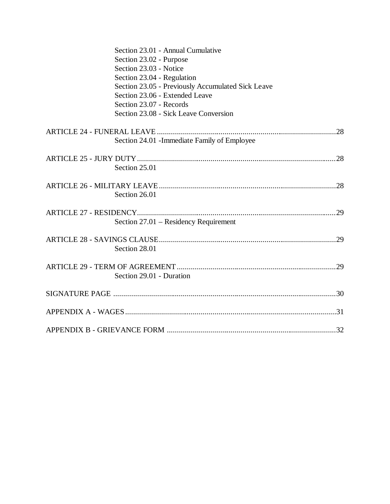| Section 23.01 - Annual Cumulative                 |
|---------------------------------------------------|
| Section 23.02 - Purpose                           |
| Section 23.03 - Notice                            |
| Section 23.04 - Regulation                        |
| Section 23.05 - Previously Accumulated Sick Leave |
| Section 23.06 - Extended Leave                    |
| Section 23.07 - Records                           |
| Section 23.08 - Sick Leave Conversion             |
|                                                   |
| Section 24.01 - Immediate Family of Employee      |
|                                                   |
| Section 25.01                                     |
|                                                   |
|                                                   |
| Section 26.01                                     |
|                                                   |
| Section 27.01 - Residency Requirement             |
|                                                   |
|                                                   |
| Section 28.01                                     |
|                                                   |
| Section 29.01 - Duration                          |
|                                                   |
|                                                   |
|                                                   |
|                                                   |
|                                                   |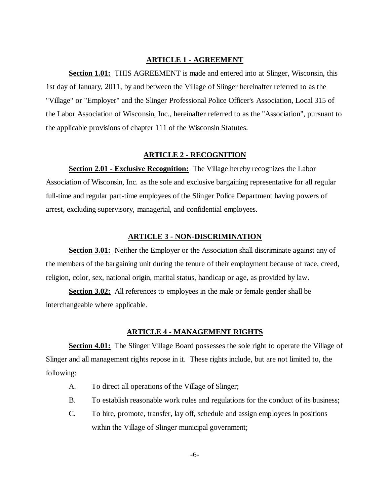## **ARTICLE 1 - AGREEMENT**

**Section 1.01:** THIS AGREEMENT is made and entered into at Slinger, Wisconsin, this 1st day of January, 2011, by and between the Village of Slinger hereinafter referred to as the "Village" or "Employer" and the Slinger Professional Police Officer's Association, Local 315 of the Labor Association of Wisconsin, Inc., hereinafter referred to as the "Association", pursuant to the applicable provisions of chapter 111 of the Wisconsin Statutes.

# **ARTICLE 2 - RECOGNITION**

**Section 2.01 - Exclusive Recognition:** The Village hereby recognizes the Labor Association of Wisconsin, Inc. as the sole and exclusive bargaining representative for all regular full-time and regular part-time employees of the Slinger Police Department having powers of arrest, excluding supervisory, managerial, and confidential employees.

#### **ARTICLE 3 - NON-DISCRIMINATION**

**Section 3.01:** Neither the Employer or the Association shall discriminate against any of the members of the bargaining unit during the tenure of their employment because of race, creed, religion, color, sex, national origin, marital status, handicap or age, as provided by law.

**Section 3.02:** All references to employees in the male or female gender shall be interchangeable where applicable.

# **ARTICLE 4 - MANAGEMENT RIGHTS**

**Section 4.01:** The Slinger Village Board possesses the sole right to operate the Village of Slinger and all management rights repose in it. These rights include, but are not limited to, the following:

- A. To direct all operations of the Village of Slinger;
- B. To establish reasonable work rules and regulations for the conduct of its business;
- C. To hire, promote, transfer, lay off, schedule and assign employees in positions within the Village of Slinger municipal government;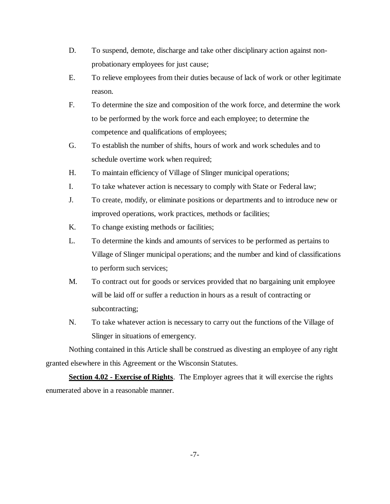- D. To suspend, demote, discharge and take other disciplinary action against nonprobationary employees for just cause;
- E. To relieve employees from their duties because of lack of work or other legitimate reason.
- F. To determine the size and composition of the work force, and determine the work to be performed by the work force and each employee; to determine the competence and qualifications of employees;
- G. To establish the number of shifts, hours of work and work schedules and to schedule overtime work when required;
- H. To maintain efficiency of Village of Slinger municipal operations;
- I. To take whatever action is necessary to comply with State or Federal law;
- J. To create, modify, or eliminate positions or departments and to introduce new or improved operations, work practices, methods or facilities;
- K. To change existing methods or facilities;
- L. To determine the kinds and amounts of services to be performed as pertains to Village of Slinger municipal operations; and the number and kind of classifications to perform such services;
- M. To contract out for goods or services provided that no bargaining unit employee will be laid off or suffer a reduction in hours as a result of contracting or subcontracting;
- N. To take whatever action is necessary to carry out the functions of the Village of Slinger in situations of emergency.

Nothing contained in this Article shall be construed as divesting an employee of any right granted elsewhere in this Agreement or the Wisconsin Statutes.

**Section 4.02 - Exercise of Rights**. The Employer agrees that it will exercise the rights enumerated above in a reasonable manner.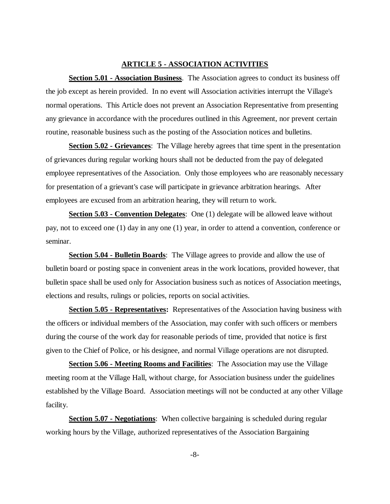# **ARTICLE 5 - ASSOCIATION ACTIVITIES**

**Section 5.01 - Association Business**. The Association agrees to conduct its business off the job except as herein provided. In no event will Association activities interrupt the Village's normal operations. This Article does not prevent an Association Representative from presenting any grievance in accordance with the procedures outlined in this Agreement, nor prevent certain routine, reasonable business such as the posting of the Association notices and bulletins.

**Section 5.02 - Grievances**: The Village hereby agrees that time spent in the presentation of grievances during regular working hours shall not be deducted from the pay of delegated employee representatives of the Association. Only those employees who are reasonably necessary for presentation of a grievant's case will participate in grievance arbitration hearings. After employees are excused from an arbitration hearing, they will return to work.

**Section 5.03 - Convention Delegates**: One (1) delegate will be allowed leave without pay, not to exceed one (1) day in any one (1) year, in order to attend a convention, conference or seminar.

**Section 5.04 - Bulletin Boards**: The Village agrees to provide and allow the use of bulletin board or posting space in convenient areas in the work locations, provided however, that bulletin space shall be used only for Association business such as notices of Association meetings, elections and results, rulings or policies, reports on social activities.

**Section 5.05 - Representatives:** Representatives of the Association having business with the officers or individual members of the Association, may confer with such officers or members during the course of the work day for reasonable periods of time, provided that notice is first given to the Chief of Police, or his designee, and normal Village operations are not disrupted.

**Section 5.06 - Meeting Rooms and Facilities**: The Association may use the Village meeting room at the Village Hall, without charge, for Association business under the guidelines established by the Village Board. Association meetings will not be conducted at any other Village facility.

**Section 5.07 - Negotiations**: When collective bargaining is scheduled during regular working hours by the Village, authorized representatives of the Association Bargaining

-8-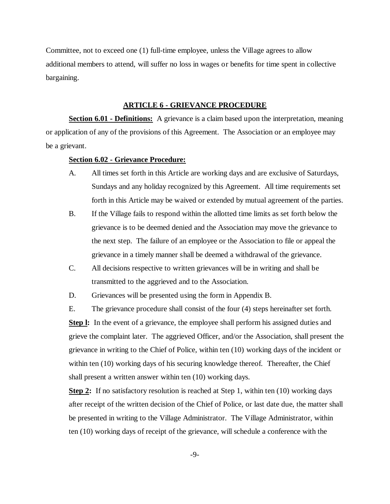Committee, not to exceed one (1) full-time employee, unless the Village agrees to allow additional members to attend, will suffer no loss in wages or benefits for time spent in collective bargaining.

# **ARTICLE 6 - GRIEVANCE PROCEDURE**

**Section 6.01 - Definitions:** A grievance is a claim based upon the interpretation, meaning or application of any of the provisions of this Agreement. The Association or an employee may be a grievant.

## **Section 6.02 - Grievance Procedure:**

- A. All times set forth in this Article are working days and are exclusive of Saturdays, Sundays and any holiday recognized by this Agreement. All time requirements set forth in this Article may be waived or extended by mutual agreement of the parties.
- B. If the Village fails to respond within the allotted time limits as set forth below the grievance is to be deemed denied and the Association may move the grievance to the next step. The failure of an employee or the Association to file or appeal the grievance in a timely manner shall be deemed a withdrawal of the grievance.
- C. All decisions respective to written grievances will be in writing and shall be transmitted to the aggrieved and to the Association.

D. Grievances will be presented using the form in Appendix B.

E. The grievance procedure shall consist of the four (4) steps hereinafter set forth.

**Step I:** In the event of a grievance, the employee shall perform his assigned duties and grieve the complaint later. The aggrieved Officer, and/or the Association, shall present the grievance in writing to the Chief of Police, within ten (10) working days of the incident or within ten (10) working days of his securing knowledge thereof. Thereafter, the Chief shall present a written answer within ten (10) working days.

**Step 2:** If no satisfactory resolution is reached at Step 1, within ten (10) working days after receipt of the written decision of the Chief of Police, or last date due, the matter shall be presented in writing to the Village Administrator. The Village Administrator, within ten (10) working days of receipt of the grievance, will schedule a conference with the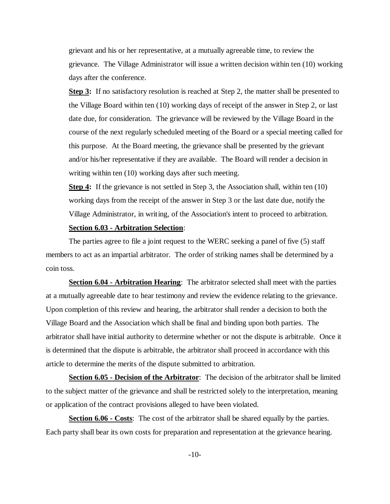grievant and his or her representative, at a mutually agreeable time, to review the grievance. The Village Administrator will issue a written decision within ten (10) working days after the conference.

**Step 3:** If no satisfactory resolution is reached at Step 2, the matter shall be presented to the Village Board within ten (10) working days of receipt of the answer in Step 2, or last date due, for consideration. The grievance will be reviewed by the Village Board in the course of the next regularly scheduled meeting of the Board or a special meeting called for this purpose. At the Board meeting, the grievance shall be presented by the grievant and/or his/her representative if they are available. The Board will render a decision in writing within ten (10) working days after such meeting.

**Step 4:** If the grievance is not settled in Step 3, the Association shall, within ten (10) working days from the receipt of the answer in Step 3 or the last date due, notify the Village Administrator, in writing, of the Association's intent to proceed to arbitration.

# **Section 6.03 - Arbitration Selection**:

The parties agree to file a joint request to the WERC seeking a panel of five (5) staff members to act as an impartial arbitrator. The order of striking names shall be determined by a coin toss.

**Section 6.04 - Arbitration Hearing**: The arbitrator selected shall meet with the parties at a mutually agreeable date to hear testimony and review the evidence relating to the grievance. Upon completion of this review and hearing, the arbitrator shall render a decision to both the Village Board and the Association which shall be final and binding upon both parties. The arbitrator shall have initial authority to determine whether or not the dispute is arbitrable. Once it is determined that the dispute is arbitrable, the arbitrator shall proceed in accordance with this article to determine the merits of the dispute submitted to arbitration.

**Section 6.05 - Decision of the Arbitrator**: The decision of the arbitrator shall be limited to the subject matter of the grievance and shall be restricted solely to the interpretation, meaning or application of the contract provisions alleged to have been violated.

**Section 6.06 - Costs**: The cost of the arbitrator shall be shared equally by the parties. Each party shall bear its own costs for preparation and representation at the grievance hearing.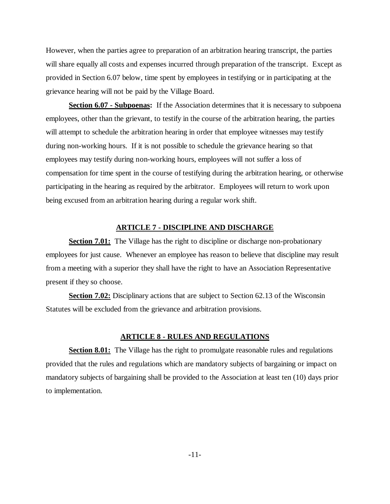However, when the parties agree to preparation of an arbitration hearing transcript, the parties will share equally all costs and expenses incurred through preparation of the transcript. Except as provided in Section 6.07 below, time spent by employees in testifying or in participating at the grievance hearing will not be paid by the Village Board.

**Section 6.07 - Subpoenas:** If the Association determines that it is necessary to subpoena employees, other than the grievant, to testify in the course of the arbitration hearing, the parties will attempt to schedule the arbitration hearing in order that employee witnesses may testify during non-working hours. If it is not possible to schedule the grievance hearing so that employees may testify during non-working hours, employees will not suffer a loss of compensation for time spent in the course of testifying during the arbitration hearing, or otherwise participating in the hearing as required by the arbitrator. Employees will return to work upon being excused from an arbitration hearing during a regular work shift.

# **ARTICLE 7 - DISCIPLINE AND DISCHARGE**

**Section 7.01:** The Village has the right to discipline or discharge non-probationary employees for just cause. Whenever an employee has reason to believe that discipline may result from a meeting with a superior they shall have the right to have an Association Representative present if they so choose.

**Section 7.02:** Disciplinary actions that are subject to Section 62.13 of the Wisconsin Statutes will be excluded from the grievance and arbitration provisions.

## **ARTICLE 8 - RULES AND REGULATIONS**

**Section 8.01:** The Village has the right to promulgate reasonable rules and regulations provided that the rules and regulations which are mandatory subjects of bargaining or impact on mandatory subjects of bargaining shall be provided to the Association at least ten (10) days prior to implementation.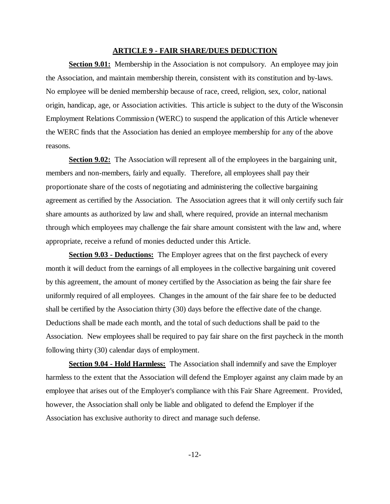#### **ARTICLE 9 - FAIR SHARE/DUES DEDUCTION**

**Section 9.01:** Membership in the Association is not compulsory. An employee may join the Association, and maintain membership therein, consistent with its constitution and by-laws. No employee will be denied membership because of race, creed, religion, sex, color, national origin, handicap, age, or Association activities. This article is subject to the duty of the Wisconsin Employment Relations Commission (WERC) to suspend the application of this Article whenever the WERC finds that the Association has denied an employee membership for any of the above reasons.

**Section 9.02:** The Association will represent all of the employees in the bargaining unit, members and non-members, fairly and equally. Therefore, all employees shall pay their proportionate share of the costs of negotiating and administering the collective bargaining agreement as certified by the Association. The Association agrees that it will only certify such fair share amounts as authorized by law and shall, where required, provide an internal mechanism through which employees may challenge the fair share amount consistent with the law and, where appropriate, receive a refund of monies deducted under this Article.

**Section 9.03 - Deductions:** The Employer agrees that on the first paycheck of every month it will deduct from the earnings of all employees in the collective bargaining unit covered by this agreement, the amount of money certified by the Association as being the fair share fee uniformly required of all employees. Changes in the amount of the fair share fee to be deducted shall be certified by the Association thirty (30) days before the effective date of the change. Deductions shall be made each month, and the total of such deductions shall be paid to the Association. New employees shall be required to pay fair share on the first paycheck in the month following thirty (30) calendar days of employment.

**Section 9.04 - Hold Harmless:** The Association shall indemnify and save the Employer harmless to the extent that the Association will defend the Employer against any claim made by an employee that arises out of the Employer's compliance with this Fair Share Agreement. Provided, however, the Association shall only be liable and obligated to defend the Employer if the Association has exclusive authority to direct and manage such defense.

-12-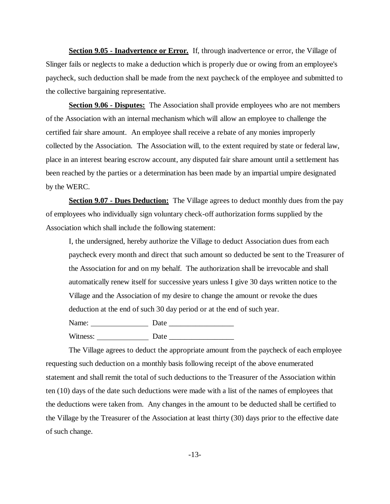**Section 9.05 - Inadvertence or Error.** If, through inadvertence or error, the Village of Slinger fails or neglects to make a deduction which is properly due or owing from an employee's paycheck, such deduction shall be made from the next paycheck of the employee and submitted to the collective bargaining representative.

**Section 9.06 - Disputes:** The Association shall provide employees who are not members of the Association with an internal mechanism which will allow an employee to challenge the certified fair share amount. An employee shall receive a rebate of any monies improperly collected by the Association. The Association will, to the extent required by state or federal law, place in an interest bearing escrow account, any disputed fair share amount until a settlement has been reached by the parties or a determination has been made by an impartial umpire designated by the WERC.

**Section 9.07 - Dues Deduction:** The Village agrees to deduct monthly dues from the pay of employees who individually sign voluntary check-off authorization forms supplied by the Association which shall include the following statement:

I, the undersigned, hereby authorize the Village to deduct Association dues from each paycheck every month and direct that such amount so deducted be sent to the Treasurer of the Association for and on my behalf. The authorization shall be irrevocable and shall automatically renew itself for successive years unless I give 30 days written notice to the Village and the Association of my desire to change the amount or revoke the dues deduction at the end of such 30 day period or at the end of such year.

Name: Date \_\_\_\_\_\_\_\_\_\_\_\_\_\_\_\_\_ Witness: Date

The Village agrees to deduct the appropriate amount from the paycheck of each employee requesting such deduction on a monthly basis following receipt of the above enumerated statement and shall remit the total of such deductions to the Treasurer of the Association within ten (10) days of the date such deductions were made with a list of the names of employees that the deductions were taken from. Any changes in the amount to be deducted shall be certified to the Village by the Treasurer of the Association at least thirty (30) days prior to the effective date of such change.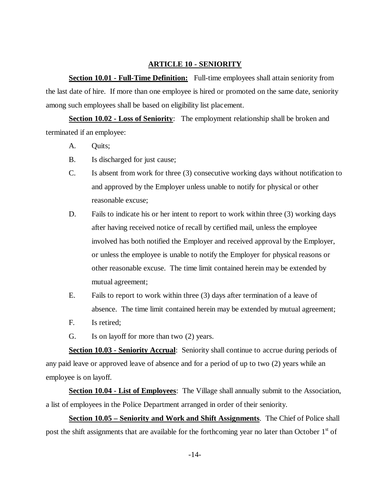# **ARTICLE 10 - SENIORITY**

**Section 10.01 - Full-Time Definition:** Full-time employees shall attain seniority from the last date of hire. If more than one employee is hired or promoted on the same date, seniority among such employees shall be based on eligibility list placement.

**Section 10.02 - Loss of Seniority**: The employment relationship shall be broken and terminated if an employee:

- A. Quits;
- B. Is discharged for just cause;
- C. Is absent from work for three (3) consecutive working days without notification to and approved by the Employer unless unable to notify for physical or other reasonable excuse;
- D. Fails to indicate his or her intent to report to work within three (3) working days after having received notice of recall by certified mail, unless the employee involved has both notified the Employer and received approval by the Employer, or unless the employee is unable to notify the Employer for physical reasons or other reasonable excuse. The time limit contained herein may be extended by mutual agreement;
- E. Fails to report to work within three (3) days after termination of a leave of absence. The time limit contained herein may be extended by mutual agreement;
- F. Is retired;
- G. Is on layoff for more than two (2) years.

**Section 10.03 - Seniority Accrual**: Seniority shall continue to accrue during periods of any paid leave or approved leave of absence and for a period of up to two (2) years while an employee is on layoff.

**Section 10.04 - List of Employees**: The Village shall annually submit to the Association, a list of employees in the Police Department arranged in order of their seniority.

**Section 10.05 – Seniority and Work and Shift Assignments**. The Chief of Police shall post the shift assignments that are available for the forthcoming year no later than October 1<sup>st</sup> of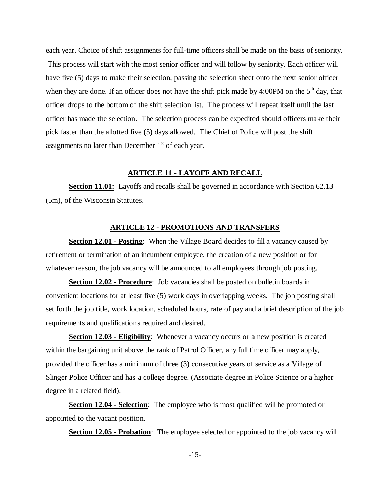each year. Choice of shift assignments for full-time officers shall be made on the basis of seniority. This process will start with the most senior officer and will follow by seniority. Each officer will have five (5) days to make their selection, passing the selection sheet onto the next senior officer when they are done. If an officer does not have the shift pick made by 4:00PM on the  $5<sup>th</sup>$  day, that officer drops to the bottom of the shift selection list. The process will repeat itself until the last officer has made the selection. The selection process can be expedited should officers make their pick faster than the allotted five (5) days allowed. The Chief of Police will post the shift assignments no later than December  $1<sup>st</sup>$  of each year.

# **ARTICLE 11 - LAYOFF AND RECALL**

**Section 11.01:** Layoffs and recalls shall be governed in accordance with Section 62.13 (5m), of the Wisconsin Statutes.

# **ARTICLE 12 - PROMOTIONS AND TRANSFERS**

**Section 12.01 - Posting**: When the Village Board decides to fill a vacancy caused by retirement or termination of an incumbent employee, the creation of a new position or for whatever reason, the job vacancy will be announced to all employees through job posting.

**Section 12.02 - Procedure**: Job vacancies shall be posted on bulletin boards in convenient locations for at least five (5) work days in overlapping weeks. The job posting shall set forth the job title, work location, scheduled hours, rate of pay and a brief description of the job requirements and qualifications required and desired.

**Section 12.03 - Eligibility**: Whenever a vacancy occurs or a new position is created within the bargaining unit above the rank of Patrol Officer, any full time officer may apply, provided the officer has a minimum of three (3) consecutive years of service as a Village of Slinger Police Officer and has a college degree. (Associate degree in Police Science or a higher degree in a related field).

**Section 12.04 - Selection**: The employee who is most qualified will be promoted or appointed to the vacant position.

**Section 12.05 - Probation**: The employee selected or appointed to the job vacancy will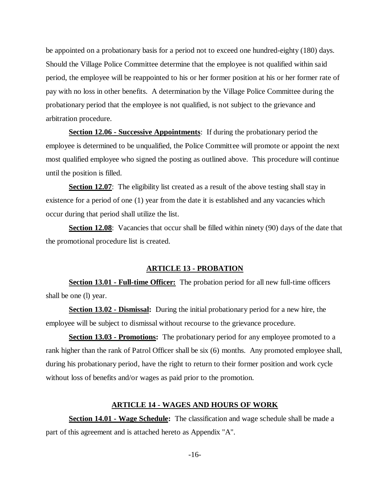be appointed on a probationary basis for a period not to exceed one hundred-eighty (180) days. Should the Village Police Committee determine that the employee is not qualified within said period, the employee will be reappointed to his or her former position at his or her former rate of pay with no loss in other benefits. A determination by the Village Police Committee during the probationary period that the employee is not qualified, is not subject to the grievance and arbitration procedure.

**Section 12.06 - Successive Appointments**: If during the probationary period the employee is determined to be unqualified, the Police Committee will promote or appoint the next most qualified employee who signed the posting as outlined above. This procedure will continue until the position is filled.

**Section 12.07**: The eligibility list created as a result of the above testing shall stay in existence for a period of one (1) year from the date it is established and any vacancies which occur during that period shall utilize the list.

**Section 12.08**: Vacancies that occur shall be filled within ninety (90) days of the date that the promotional procedure list is created.

### **ARTICLE 13 - PROBATION**

**Section 13.01 - Full-time Officer:** The probation period for all new full-time officers shall be one (l) year.

**Section 13.02 - Dismissal:** During the initial probationary period for a new hire, the employee will be subject to dismissal without recourse to the grievance procedure.

**Section 13.03 - Promotions:** The probationary period for any employee promoted to a rank higher than the rank of Patrol Officer shall be six (6) months. Any promoted employee shall, during his probationary period, have the right to return to their former position and work cycle without loss of benefits and/or wages as paid prior to the promotion.

#### **ARTICLE 14 - WAGES AND HOURS OF WORK**

**Section 14.01 - Wage Schedule:** The classification and wage schedule shall be made a part of this agreement and is attached hereto as Appendix "A".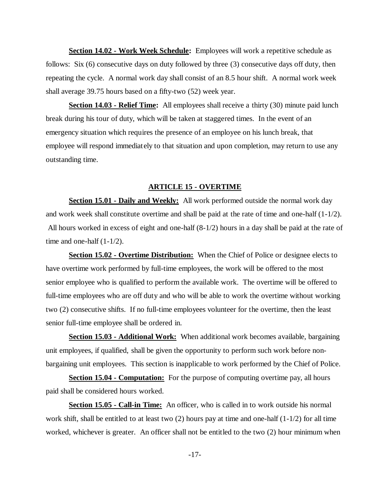**Section 14.02 - Work Week Schedule:** Employees will work a repetitive schedule as follows: Six (6) consecutive days on duty followed by three (3) consecutive days off duty, then repeating the cycle. A normal work day shall consist of an 8.5 hour shift. A normal work week shall average 39.75 hours based on a fifty-two (52) week year.

**Section 14.03 - Relief Time:** All employees shall receive a thirty (30) minute paid lunch break during his tour of duty, which will be taken at staggered times. In the event of an emergency situation which requires the presence of an employee on his lunch break, that employee will respond immediately to that situation and upon completion, may return to use any outstanding time.

# **ARTICLE 15 - OVERTIME**

**Section 15.01 - Daily and Weekly:** All work performed outside the normal work day and work week shall constitute overtime and shall be paid at the rate of time and one-half  $(1-1/2)$ . All hours worked in excess of eight and one-half (8-1/2) hours in a day shall be paid at the rate of time and one-half  $(1-1/2)$ .

**Section 15.02 - Overtime Distribution:** When the Chief of Police or designee elects to have overtime work performed by full-time employees, the work will be offered to the most senior employee who is qualified to perform the available work. The overtime will be offered to full-time employees who are off duty and who will be able to work the overtime without working two (2) consecutive shifts. If no full-time employees volunteer for the overtime, then the least senior full-time employee shall be ordered in.

**Section 15.03 - Additional Work:** When additional work becomes available, bargaining unit employees, if qualified, shall be given the opportunity to perform such work before nonbargaining unit employees. This section is inapplicable to work performed by the Chief of Police.

**Section 15.04 - Computation:** For the purpose of computing overtime pay, all hours paid shall be considered hours worked.

**Section 15.05 - Call-in Time:** An officer, who is called in to work outside his normal work shift, shall be entitled to at least two  $(2)$  hours pay at time and one-half  $(1-1/2)$  for all time worked, whichever is greater. An officer shall not be entitled to the two (2) hour minimum when

-17-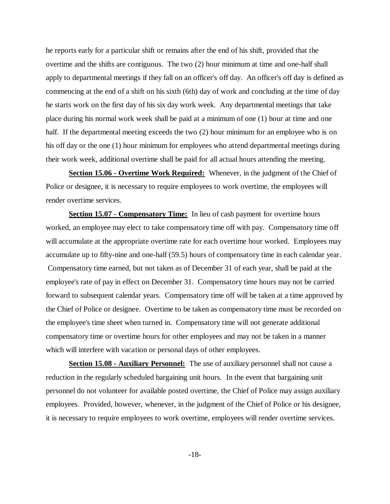he reports early for a particular shift or remains after the end of his shift, provided that the overtime and the shifts are contiguous. The two (2) hour minimum at time and one-half shall apply to departmental meetings if they fall on an officer's off day. An officer's off day is defined as commencing at the end of a shift on his sixth (6th) day of work and concluding at the time of day he starts work on the first day of his six day work week. Any departmental meetings that take place during his normal work week shall be paid at a minimum of one (1) hour at time and one half. If the departmental meeting exceeds the two (2) hour minimum for an employee who is on his off day or the one (1) hour minimum for employees who attend departmental meetings during their work week, additional overtime shall be paid for all actual hours attending the meeting.

**Section 15.06 - Overtime Work Required:** Whenever, in the judgment of the Chief of Police or designee, it is necessary to require employees to work overtime, the employees will render overtime services.

**Section 15.07 - Compensatory Time:** In lieu of cash payment for overtime hours worked, an employee may elect to take compensatory time off with pay. Compensatory time off will accumulate at the appropriate overtime rate for each overtime hour worked. Employees may accumulate up to fifty-nine and one-half (59.5) hours of compensatory time in each calendar year. Compensatory time earned, but not taken as of December 31 of each year, shall be paid at the employee's rate of pay in effect on December 31. Compensatory time hours may not be carried forward to subsequent calendar years. Compensatory time off will be taken at a time approved by the Chief of Police or designee. Overtime to be taken as compensatory time must be recorded on the employee's time sheet when turned in. Compensatory time will not generate additional compensatory time or overtime hours for other employees and may not be taken in a manner which will interfere with vacation or personal days of other employees.

**Section 15.08 - Auxiliary Personnel:** The use of auxiliary personnel shall not cause a reduction in the regularly scheduled bargaining unit hours. In the event that bargaining unit personnel do not volunteer for available posted overtime, the Chief of Police may assign auxiliary employees. Provided, however, whenever, in the judgment of the Chief of Police or his designee, it is necessary to require employees to work overtime, employees will render overtime services.

-18-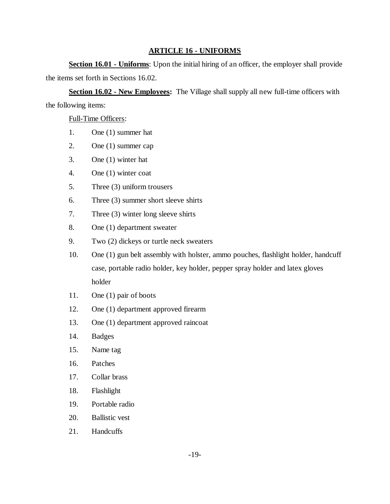# **ARTICLE 16 - UNIFORMS**

**Section 16.01 - Uniforms**: Upon the initial hiring of an officer, the employer shall provide the items set forth in Sections 16.02.

**Section 16.02 - New Employees:** The Village shall supply all new full-time officers with the following items:

# Full-Time Officers:

- 1. One (1) summer hat
- 2. One (1) summer cap
- 3. One (1) winter hat
- 4. One (1) winter coat
- 5. Three (3) uniform trousers
- 6. Three (3) summer short sleeve shirts
- 7. Three (3) winter long sleeve shirts
- 8. One (1) department sweater
- 9. Two (2) dickeys or turtle neck sweaters
- 10. One (1) gun belt assembly with holster, ammo pouches, flashlight holder, handcuff case, portable radio holder, key holder, pepper spray holder and latex gloves holder
- 11. One (1) pair of boots
- 12. One (1) department approved firearm
- 13. One (1) department approved raincoat
- 14. Badges
- 15. Name tag
- 16. Patches
- 17. Collar brass
- 18. Flashlight
- 19. Portable radio
- 20. Ballistic vest
- 21. Handcuffs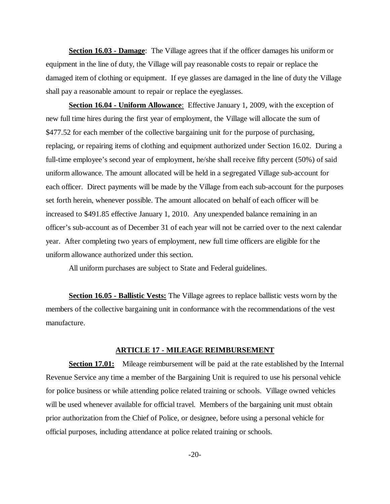**Section 16.03 - Damage**: The Village agrees that if the officer damages his uniform or equipment in the line of duty, the Village will pay reasonable costs to repair or replace the damaged item of clothing or equipment. If eye glasses are damaged in the line of duty the Village shall pay a reasonable amount to repair or replace the eyeglasses.

**Section 16.04 - Uniform Allowance**: Effective January 1, 2009, with the exception of new full time hires during the first year of employment, the Village will allocate the sum of \$477.52 for each member of the collective bargaining unit for the purpose of purchasing, replacing, or repairing items of clothing and equipment authorized under Section 16.02. During a full-time employee's second year of employment, he/she shall receive fifty percent (50%) of said uniform allowance. The amount allocated will be held in a segregated Village sub-account for each officer. Direct payments will be made by the Village from each sub-account for the purposes set forth herein, whenever possible. The amount allocated on behalf of each officer will be increased to \$491.85 effective January 1, 2010. Any unexpended balance remaining in an officer's sub-account as of December 31 of each year will not be carried over to the next calendar year. After completing two years of employment, new full time officers are eligible for the uniform allowance authorized under this section.

All uniform purchases are subject to State and Federal guidelines.

**Section 16.05 - Ballistic Vests:** The Village agrees to replace ballistic vests worn by the members of the collective bargaining unit in conformance with the recommendations of the vest manufacture.

### **ARTICLE 17 - MILEAGE REIMBURSEMENT**

**Section 17.01:** Mileage reimbursement will be paid at the rate established by the Internal Revenue Service any time a member of the Bargaining Unit is required to use his personal vehicle for police business or while attending police related training or schools. Village owned vehicles will be used whenever available for official travel. Members of the bargaining unit must obtain prior authorization from the Chief of Police, or designee, before using a personal vehicle for official purposes, including attendance at police related training or schools.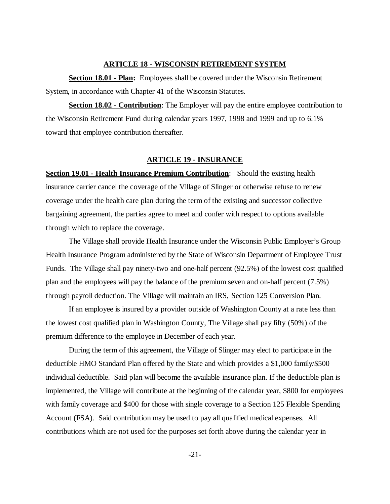# **ARTICLE 18 - WISCONSIN RETIREMENT SYSTEM**

**Section 18.01 - Plan:** Employees shall be covered under the Wisconsin Retirement System, in accordance with Chapter 41 of the Wisconsin Statutes.

**Section 18.02 - Contribution**: The Employer will pay the entire employee contribution to the Wisconsin Retirement Fund during calendar years 1997, 1998 and 1999 and up to 6.1% toward that employee contribution thereafter.

#### **ARTICLE 19 - INSURANCE**

**Section 19.01 - Health Insurance Premium Contribution**: Should the existing health insurance carrier cancel the coverage of the Village of Slinger or otherwise refuse to renew coverage under the health care plan during the term of the existing and successor collective bargaining agreement, the parties agree to meet and confer with respect to options available through which to replace the coverage.

The Village shall provide Health Insurance under the Wisconsin Public Employer's Group Health Insurance Program administered by the State of Wisconsin Department of Employee Trust Funds. The Village shall pay ninety-two and one-half percent (92.5%) of the lowest cost qualified plan and the employees will pay the balance of the premium seven and on-half percent (7.5%) through payroll deduction. The Village will maintain an IRS, Section 125 Conversion Plan.

If an employee is insured by a provider outside of Washington County at a rate less than the lowest cost qualified plan in Washington County, The Village shall pay fifty (50%) of the premium difference to the employee in December of each year.

During the term of this agreement, the Village of Slinger may elect to participate in the deductible HMO Standard Plan offered by the State and which provides a \$1,000 family/\$500 individual deductible. Said plan will become the available insurance plan. If the deductible plan is implemented, the Village will contribute at the beginning of the calendar year, \$800 for employees with family coverage and \$400 for those with single coverage to a Section 125 Flexible Spending Account (FSA). Said contribution may be used to pay all qualified medical expenses. All contributions which are not used for the purposes set forth above during the calendar year in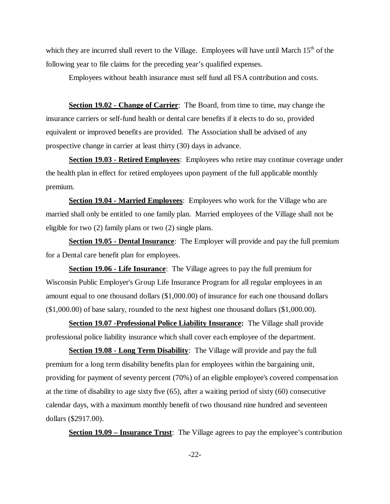which they are incurred shall revert to the Village. Employees will have until March 15<sup>th</sup> of the following year to file claims for the preceding year's qualified expenses.

Employees without health insurance must self fund all FSA contribution and costs.

**Section 19.02 - Change of Carrier**: The Board, from time to time, may change the insurance carriers or self-fund health or dental care benefits if it elects to do so, provided equivalent or improved benefits are provided. The Association shall be advised of any prospective change in carrier at least thirty (30) days in advance.

**Section 19.03 - Retired Employees**: Employees who retire may continue coverage under the health plan in effect for retired employees upon payment of the full applicable monthly premium.

**Section 19.04 - Married Employees**: Employees who work for the Village who are married shall only be entitled to one family plan. Married employees of the Village shall not be eligible for two (2) family plans or two (2) single plans.

**Section 19.05 - Dental Insurance**: The Employer will provide and pay the full premium for a Dental care benefit plan for employees.

**Section 19.06 - Life Insurance**: The Village agrees to pay the full premium for Wisconsin Public Employer's Group Life Insurance Program for all regular employees in an amount equal to one thousand dollars (\$1,000.00) of insurance for each one thousand dollars (\$1,000.00) of base salary, rounded to the next highest one thousand dollars (\$1,000.00).

**Section 19.07 -Professional Police Liability Insurance:** The Village shall provide professional police liability insurance which shall cover each employee of the department.

**Section 19.08 - Long Term Disability**: The Village will provide and pay the full premium for a long term disability benefits plan for employees within the bargaining unit, providing for payment of seventy percent (70%) of an eligible employee's covered compensation at the time of disability to age sixty five (65), after a waiting period of sixty (60) consecutive calendar days, with a maximum monthly benefit of two thousand nine hundred and seventeen dollars (\$2917.00).

**Section 19.09 – Insurance Trust**: The Village agrees to pay the employee's contribution

-22-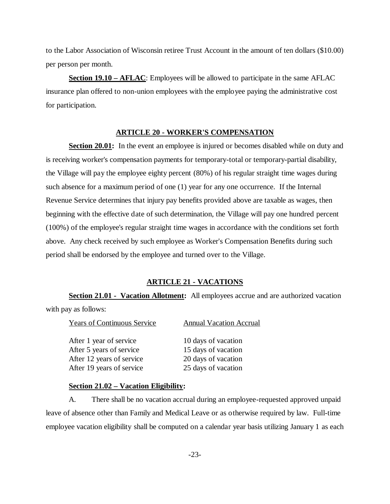to the Labor Association of Wisconsin retiree Trust Account in the amount of ten dollars (\$10.00) per person per month.

**Section 19.10 – AFLAC**: Employees will be allowed to participate in the same AFLAC insurance plan offered to non-union employees with the employee paying the administrative cost for participation.

# **ARTICLE 20 - WORKER'S COMPENSATION**

**Section 20.01:** In the event an employee is injured or becomes disabled while on duty and is receiving worker's compensation payments for temporary-total or temporary-partial disability, the Village will pay the employee eighty percent (80%) of his regular straight time wages during such absence for a maximum period of one (1) year for any one occurrence. If the Internal Revenue Service determines that injury pay benefits provided above are taxable as wages, then beginning with the effective date of such determination, the Village will pay one hundred percent (100%) of the employee's regular straight time wages in accordance with the conditions set forth above. Any check received by such employee as Worker's Compensation Benefits during such period shall be endorsed by the employee and turned over to the Village.

## **ARTICLE 21 - VACATIONS**

**Section 21.01 - Vacation Allotment:** All employees accrue and are authorized vacation with pay as follows:

| <b>Years of Continuous Service</b> | <b>Annual Vacation Accrual</b> |
|------------------------------------|--------------------------------|
| After 1 year of service            | 10 days of vacation            |
| After 5 years of service           | 15 days of vacation            |
| After 12 years of service          | 20 days of vacation            |
| After 19 years of service          | 25 days of vacation            |

### **Section 21.02 – Vacation Eligibility:**

A. There shall be no vacation accrual during an employee-requested approved unpaid leave of absence other than Family and Medical Leave or as otherwise required by law. Full-time employee vacation eligibility shall be computed on a calendar year basis utilizing January 1 as each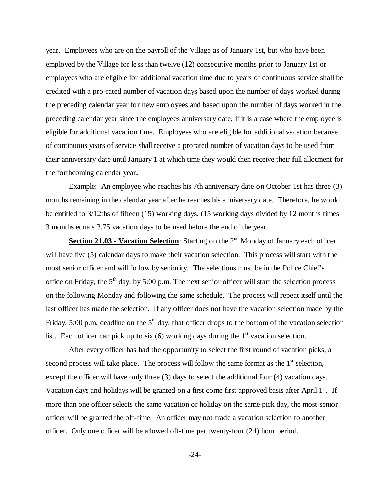year. Employees who are on the payroll of the Village as of January 1st, but who have been employed by the Village for less than twelve (12) consecutive months prior to January 1st or employees who are eligible for additional vacation time due to years of continuous service shall be credited with a pro-rated number of vacation days based upon the number of days worked during the preceding calendar year for new employees and based upon the number of days worked in the preceding calendar year since the employees anniversary date, if it is a case where the employee is eligible for additional vacation time. Employees who are eligible for additional vacation because of continuous years of service shall receive a prorated number of vacation days to be used from their anniversary date until January 1 at which time they would then receive their full allotment for the forthcoming calendar year.

Example: An employee who reaches his 7th anniversary date on October 1st has three (3) months remaining in the calendar year after he reaches his anniversary date. Therefore, he would be entitled to 3/12ths of fifteen (15) working days. (15 working days divided by 12 months times 3 months equals 3.75 vacation days to be used before the end of the year.

**Section 21.03 - Vacation Selection:** Starting on the 2<sup>nd</sup> Monday of January each officer will have five (5) calendar days to make their vacation selection. This process will start with the most senior officer and will follow by seniority. The selections must be in the Police Chief's office on Friday, the  $5<sup>th</sup>$  day, by 5:00 p.m. The next senior officer will start the selection process on the following Monday and following the same schedule. The process will repeat itself until the last officer has made the selection. If any officer does not have the vacation selection made by the Friday, 5:00 p.m. deadline on the  $5<sup>th</sup>$  day, that officer drops to the bottom of the vacation selection list. Each officer can pick up to six  $(6)$  working days during the 1<sup>st</sup> vacation selection.

After every officer has had the opportunity to select the first round of vacation picks, a second process will take place. The process will follow the same format as the  $1<sup>st</sup>$  selection, except the officer will have only three (3) days to select the additional four (4) vacation days. Vacation days and holidays will be granted on a first come first approved basis after April  $1<sup>st</sup>$ . If more than one officer selects the same vacation or holiday on the same pick day, the most senior officer will be granted the off-time. An officer may not trade a vacation selection to another officer. Only one officer will be allowed off-time per twenty-four (24) hour period.

-24-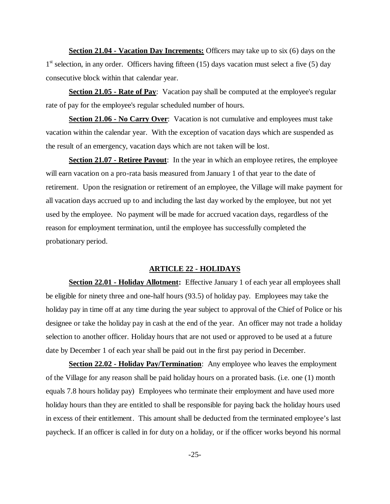**Section 21.04 - Vacation Day Increments:** Officers may take up to six (6) days on the 1<sup>st</sup> selection, in any order. Officers having fifteen (15) days vacation must select a five (5) day consecutive block within that calendar year.

**Section 21.05 - Rate of Pay**: Vacation pay shall be computed at the employee's regular rate of pay for the employee's regular scheduled number of hours.

**Section 21.06 - No Carry Over**: Vacation is not cumulative and employees must take vacation within the calendar year. With the exception of vacation days which are suspended as the result of an emergency, vacation days which are not taken will be lost.

**Section 21.07 - Retiree Payout**: In the year in which an employee retires, the employee will earn vacation on a pro-rata basis measured from January 1 of that year to the date of retirement. Upon the resignation or retirement of an employee, the Village will make payment for all vacation days accrued up to and including the last day worked by the employee, but not yet used by the employee. No payment will be made for accrued vacation days, regardless of the reason for employment termination, until the employee has successfully completed the probationary period.

#### **ARTICLE 22 - HOLIDAYS**

**Section 22.01 - Holiday Allotment:** Effective January 1 of each year all employees shall be eligible for ninety three and one-half hours (93.5) of holiday pay. Employees may take the holiday pay in time off at any time during the year subject to approval of the Chief of Police or his designee or take the holiday pay in cash at the end of the year. An officer may not trade a holiday selection to another officer. Holiday hours that are not used or approved to be used at a future date by December 1 of each year shall be paid out in the first pay period in December.

**Section 22.02 - Holiday Pay/Termination**: Any employee who leaves the employment of the Village for any reason shall be paid holiday hours on a prorated basis. (i.e. one (1) month equals 7.8 hours holiday pay) Employees who terminate their employment and have used more holiday hours than they are entitled to shall be responsible for paying back the holiday hours used in excess of their entitlement. This amount shall be deducted from the terminated employee's last paycheck. If an officer is called in for duty on a holiday, or if the officer works beyond his normal

-25-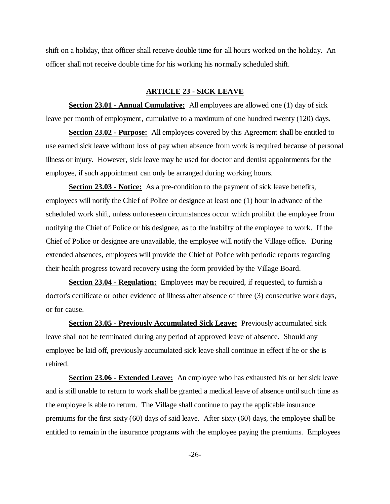shift on a holiday, that officer shall receive double time for all hours worked on the holiday. An officer shall not receive double time for his working his normally scheduled shift.

## **ARTICLE 23 - SICK LEAVE**

**Section 23.01 - Annual Cumulative:** All employees are allowed one (1) day of sick leave per month of employment, cumulative to a maximum of one hundred twenty (120) days.

**Section 23.02 - Purpose:** All employees covered by this Agreement shall be entitled to use earned sick leave without loss of pay when absence from work is required because of personal illness or injury. However, sick leave may be used for doctor and dentist appointments for the employee, if such appointment can only be arranged during working hours.

**Section 23.03 - Notice:** As a pre-condition to the payment of sick leave benefits, employees will notify the Chief of Police or designee at least one (1) hour in advance of the scheduled work shift, unless unforeseen circumstances occur which prohibit the employee from notifying the Chief of Police or his designee, as to the inability of the employee to work. If the Chief of Police or designee are unavailable, the employee will notify the Village office. During extended absences, employees will provide the Chief of Police with periodic reports regarding their health progress toward recovery using the form provided by the Village Board.

**Section 23.04 - Regulation:** Employees may be required, if requested, to furnish a doctor's certificate or other evidence of illness after absence of three (3) consecutive work days, or for cause.

**Section 23.05 - Previously Accumulated Sick Leave:** Previously accumulated sick leave shall not be terminated during any period of approved leave of absence. Should any employee be laid off, previously accumulated sick leave shall continue in effect if he or she is rehired.

**Section 23.06 - Extended Leave:** An employee who has exhausted his or her sick leave and is still unable to return to work shall be granted a medical leave of absence until such time as the employee is able to return. The Village shall continue to pay the applicable insurance premiums for the first sixty (60) days of said leave. After sixty (60) days, the employee shall be entitled to remain in the insurance programs with the employee paying the premiums. Employees

-26-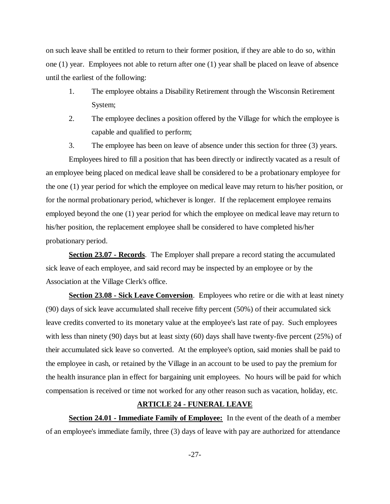on such leave shall be entitled to return to their former position, if they are able to do so, within one (1) year. Employees not able to return after one (1) year shall be placed on leave of absence until the earliest of the following:

- 1. The employee obtains a Disability Retirement through the Wisconsin Retirement System;
- 2. The employee declines a position offered by the Village for which the employee is capable and qualified to perform;
- 3. The employee has been on leave of absence under this section for three (3) years.

Employees hired to fill a position that has been directly or indirectly vacated as a result of an employee being placed on medical leave shall be considered to be a probationary employee for the one (1) year period for which the employee on medical leave may return to his/her position, or for the normal probationary period, whichever is longer. If the replacement employee remains employed beyond the one (1) year period for which the employee on medical leave may return to his/her position, the replacement employee shall be considered to have completed his/her probationary period.

**Section 23.07 - Records**. The Employer shall prepare a record stating the accumulated sick leave of each employee, and said record may be inspected by an employee or by the Association at the Village Clerk's office.

**Section 23.08 - Sick Leave Conversion**. Employees who retire or die with at least ninety (90) days of sick leave accumulated shall receive fifty percent (50%) of their accumulated sick leave credits converted to its monetary value at the employee's last rate of pay. Such employees with less than ninety (90) days but at least sixty (60) days shall have twenty-five percent (25%) of their accumulated sick leave so converted. At the employee's option, said monies shall be paid to the employee in cash, or retained by the Village in an account to be used to pay the premium for the health insurance plan in effect for bargaining unit employees. No hours will be paid for which compensation is received or time not worked for any other reason such as vacation, holiday, etc.

# **ARTICLE 24 - FUNERAL LEAVE**

**Section 24.01 - Immediate Family of Employee:** In the event of the death of a member of an employee's immediate family, three (3) days of leave with pay are authorized for attendance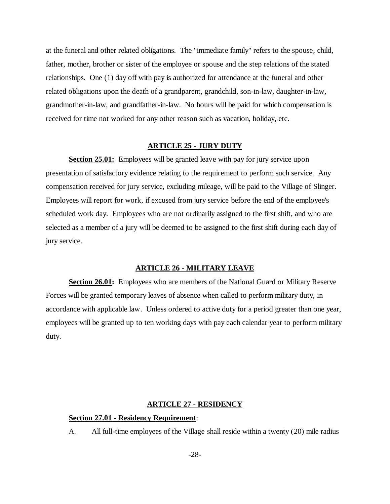at the funeral and other related obligations. The "immediate family" refers to the spouse, child, father, mother, brother or sister of the employee or spouse and the step relations of the stated relationships. One (1) day off with pay is authorized for attendance at the funeral and other related obligations upon the death of a grandparent, grandchild, son-in-law, daughter-in-law, grandmother-in-law, and grandfather-in-law. No hours will be paid for which compensation is received for time not worked for any other reason such as vacation, holiday, etc.

## **ARTICLE 25 - JURY DUTY**

**Section 25.01:** Employees will be granted leave with pay for jury service upon presentation of satisfactory evidence relating to the requirement to perform such service. Any compensation received for jury service, excluding mileage, will be paid to the Village of Slinger. Employees will report for work, if excused from jury service before the end of the employee's scheduled work day. Employees who are not ordinarily assigned to the first shift, and who are selected as a member of a jury will be deemed to be assigned to the first shift during each day of jury service.

#### **ARTICLE 26 - MILITARY LEAVE**

**Section 26.01:** Employees who are members of the National Guard or Military Reserve Forces will be granted temporary leaves of absence when called to perform military duty, in accordance with applicable law. Unless ordered to active duty for a period greater than one year, employees will be granted up to ten working days with pay each calendar year to perform military duty.

# **ARTICLE 27 - RESIDENCY**

## **Section 27.01 - Residency Requirement**:

A. All full-time employees of the Village shall reside within a twenty (20) mile radius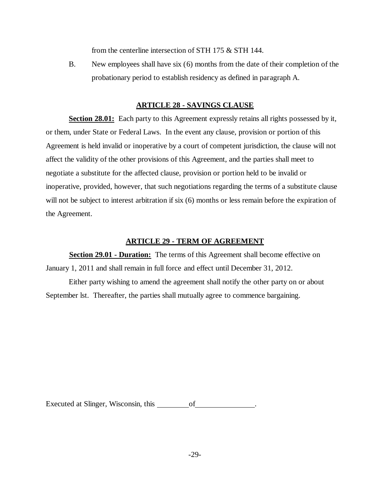from the centerline intersection of STH 175 & STH 144.

B. New employees shall have six (6) months from the date of their completion of the probationary period to establish residency as defined in paragraph A.

# **ARTICLE 28 - SAVINGS CLAUSE**

**Section 28.01:** Each party to this Agreement expressly retains all rights possessed by it, or them, under State or Federal Laws. In the event any clause, provision or portion of this Agreement is held invalid or inoperative by a court of competent jurisdiction, the clause will not affect the validity of the other provisions of this Agreement, and the parties shall meet to negotiate a substitute for the affected clause, provision or portion held to be invalid or inoperative, provided, however, that such negotiations regarding the terms of a substitute clause will not be subject to interest arbitration if six (6) months or less remain before the expiration of the Agreement.

# **ARTICLE 29 - TERM OF AGREEMENT**

**Section 29.01 - Duration:** The terms of this Agreement shall become effective on January 1, 2011 and shall remain in full force and effect until December 31, 2012.

Either party wishing to amend the agreement shall notify the other party on or about September lst. Thereafter, the parties shall mutually agree to commence bargaining.

Executed at Slinger, Wisconsin, this \_\_\_\_\_\_\_\_\_\_ of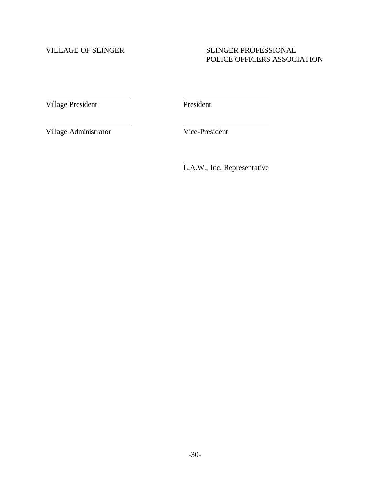# VILLAGE OF SLINGER SLINGER SLINGER PROFESSIONAL POLICE OFFICERS ASSOCIATION

Village President President

 $\overline{a}$ 

 $\overline{a}$ 

 $\overline{a}$ 

Village Administrator Vice-President

L.A.W., Inc. Representative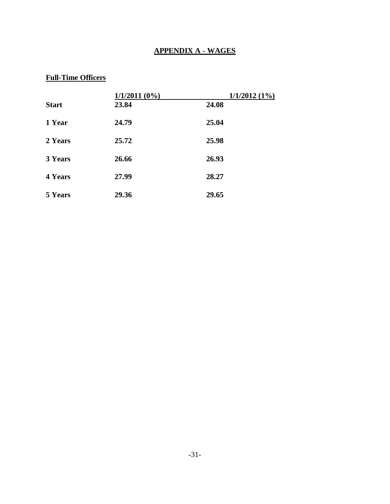# **APPENDIX A - WAGES**

# **Full-Time Officers**

|                | $1/1/2011(0\%)$ | 1/1/2012(1%) |
|----------------|-----------------|--------------|
| <b>Start</b>   | 23.84           | 24.08        |
| 1 Year         | 24.79           | 25.04        |
| 2 Years        | 25.72           | 25.98        |
| 3 Years        | 26.66           | 26.93        |
| <b>4 Years</b> | 27.99           | 28.27        |
| 5 Years        | 29.36           | 29.65        |